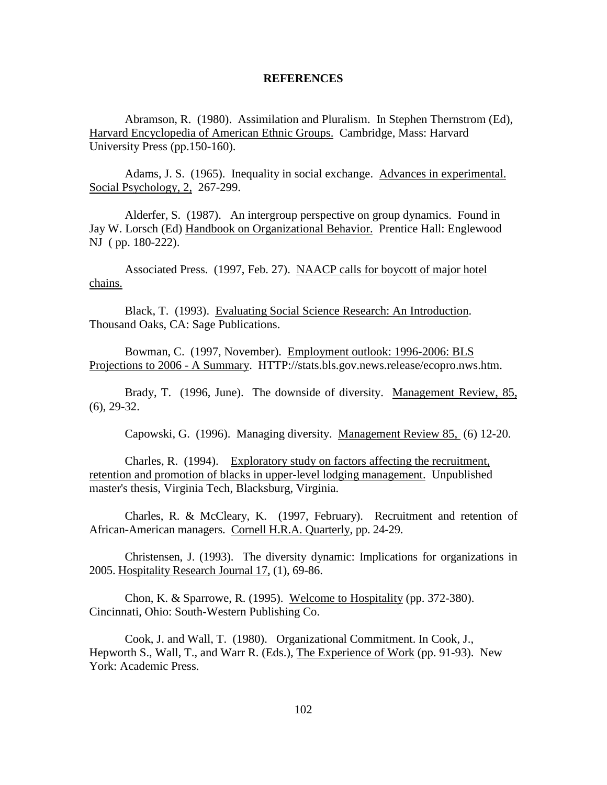## **REFERENCES**

Abramson, R. (1980). Assimilation and Pluralism. In Stephen Thernstrom (Ed), Harvard Encyclopedia of American Ethnic Groups. Cambridge, Mass: Harvard University Press (pp.150-160).

Adams, J. S. (1965). Inequality in social exchange. Advances in experimental. Social Psychology, 2, 267-299.

Alderfer, S. (1987). An intergroup perspective on group dynamics. Found in Jay W. Lorsch (Ed) Handbook on Organizational Behavior. Prentice Hall: Englewood NJ ( pp. 180-222).

Associated Press. (1997, Feb. 27). NAACP calls for boycott of major hotel chains.

Black, T. (1993). Evaluating Social Science Research: An Introduction. Thousand Oaks, CA: Sage Publications.

Bowman, C. (1997, November). Employment outlook: 1996-2006: BLS Projections to 2006 - A Summary. HTTP://stats.bls.gov.news.release/ecopro.nws.htm.

Brady, T. (1996, June). The downside of diversity. Management Review, 85, (6), 29-32.

Capowski, G. (1996). Managing diversity. Management Review 85, (6) 12-20.

Charles, R. (1994). Exploratory study on factors affecting the recruitment, retention and promotion of blacks in upper-level lodging management. Unpublished master's thesis, Virginia Tech, Blacksburg, Virginia.

Charles, R. & McCleary, K. (1997, February). Recruitment and retention of African-American managers. Cornell H.R.A. Quarterly, pp. 24-29.

Christensen, J. (1993). The diversity dynamic: Implications for organizations in 2005. Hospitality Research Journal 17, (1), 69-86.

Chon, K. & Sparrowe, R. (1995). Welcome to Hospitality (pp. 372-380). Cincinnati, Ohio: South-Western Publishing Co.

Cook, J. and Wall, T. (1980). Organizational Commitment. In Cook, J., Hepworth S., Wall, T., and Warr R. (Eds.), The Experience of Work (pp. 91-93). New York: Academic Press.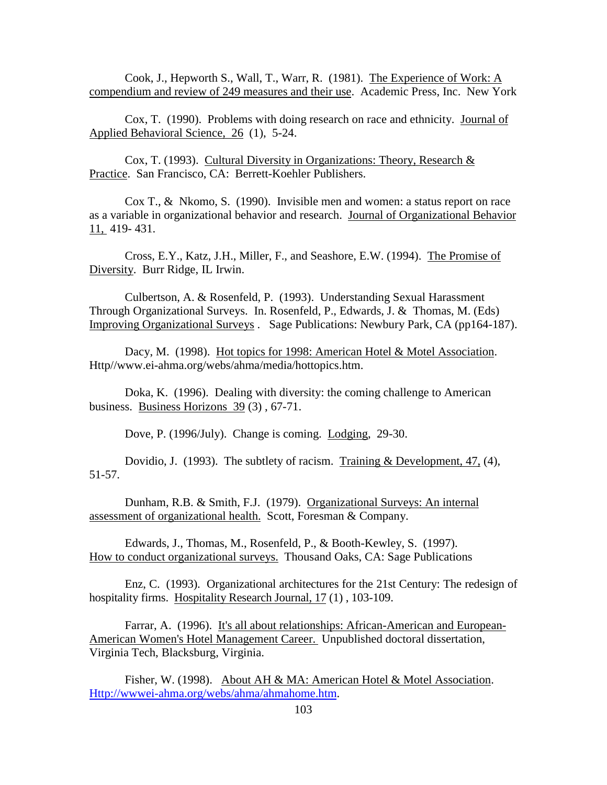Cook, J., Hepworth S., Wall, T., Warr, R. (1981). The Experience of Work: A compendium and review of 249 measures and their use. Academic Press, Inc. New York

Cox, T. (1990). Problems with doing research on race and ethnicity. Journal of Applied Behavioral Science, 26 (1), 5-24.

Cox, T. (1993). Cultural Diversity in Organizations: Theory, Research & Practice. San Francisco, CA: Berrett-Koehler Publishers.

Cox T., & Nkomo, S. (1990). Invisible men and women: a status report on race as a variable in organizational behavior and research. Journal of Organizational Behavior 11, 419- 431.

Cross, E.Y., Katz, J.H., Miller, F., and Seashore, E.W. (1994). The Promise of Diversity. Burr Ridge, IL Irwin.

Culbertson, A. & Rosenfeld, P. (1993). Understanding Sexual Harassment Through Organizational Surveys. In. Rosenfeld, P., Edwards, J. & Thomas, M. (Eds) Improving Organizational Surveys . Sage Publications: Newbury Park, CA (pp164-187).

Dacy, M. (1998). Hot topics for 1998: American Hotel & Motel Association. Http//www.ei-ahma.org/webs/ahma/media/hottopics.htm.

Doka, K. (1996). Dealing with diversity: the coming challenge to American business. Business Horizons 39 (3) , 67-71.

Dove, P. (1996/July). Change is coming. Lodging, 29-30.

Dovidio, J. (1993). The subtlety of racism. Training & Development, 47, (4), 51-57.

Dunham, R.B. & Smith, F.J. (1979). Organizational Surveys: An internal assessment of organizational health. Scott, Foresman & Company.

Edwards, J., Thomas, M., Rosenfeld, P., & Booth-Kewley, S. (1997). How to conduct organizational surveys. Thousand Oaks, CA: Sage Publications

Enz, C. (1993). Organizational architectures for the 21st Century: The redesign of hospitality firms. Hospitality Research Journal, 17(1), 103-109.

Farrar, A. (1996). It's all about relationships: African-American and European-American Women's Hotel Management Career. Unpublished doctoral dissertation, Virginia Tech, Blacksburg, Virginia.

Fisher, W. (1998). About AH & MA: American Hotel & Motel Association. Http://wwwei-ahma.org/webs/ahma/ahmahome.htm.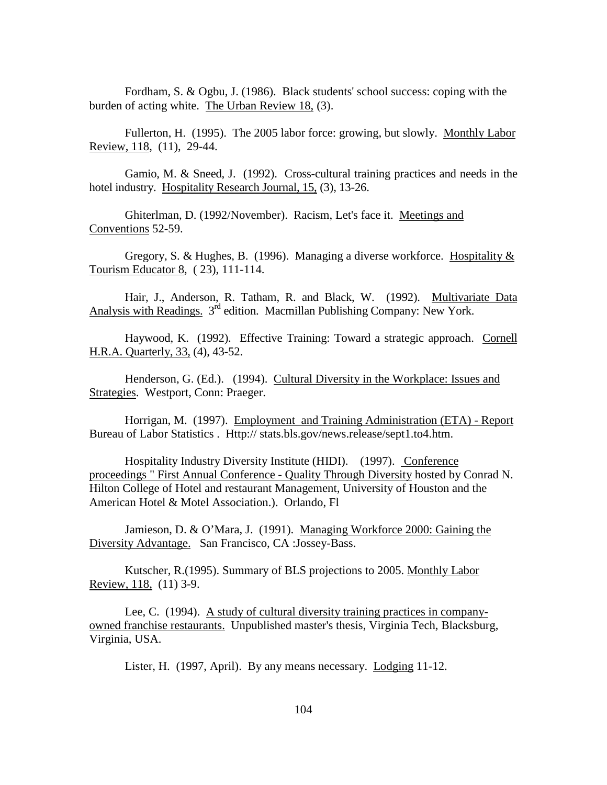Fordham, S. & Ogbu, J. (1986). Black students' school success: coping with the burden of acting white. The Urban Review 18, (3).

Fullerton, H. (1995). The 2005 labor force: growing, but slowly. Monthly Labor Review, 118, (11), 29-44.

Gamio, M. & Sneed, J. (1992). Cross-cultural training practices and needs in the hotel industry. Hospitality Research Journal, 15, (3), 13-26.

Ghiterlman, D. (1992/November). Racism, Let's face it. Meetings and Conventions 52-59.

Gregory, S. & Hughes, B. (1996). Managing a diverse workforce. Hospitality & Tourism Educator 8, ( 23), 111-114.

Hair, J., Anderson, R. Tatham, R. and Black, W. (1992). Multivariate Data Analysis with Readings. 3rd edition. Macmillan Publishing Company: New York.

Haywood, K. (1992). Effective Training: Toward a strategic approach. Cornell H.R.A. Quarterly, 33, (4), 43-52.

Henderson, G. (Ed.). (1994). Cultural Diversity in the Workplace: Issues and Strategies. Westport, Conn: Praeger.

Horrigan, M. (1997). Employment and Training Administration (ETA) - Report Bureau of Labor Statistics . Http:// stats.bls.gov/news.release/sept1.to4.htm.

Hospitality Industry Diversity Institute (HIDI). (1997). Conference proceedings " First Annual Conference - Quality Through Diversity hosted by Conrad N. Hilton College of Hotel and restaurant Management, University of Houston and the American Hotel & Motel Association.). Orlando, Fl

Jamieson, D. & O'Mara, J. (1991). Managing Workforce 2000: Gaining the Diversity Advantage. San Francisco, CA :Jossey-Bass.

Kutscher, R.(1995). Summary of BLS projections to 2005. Monthly Labor Review, 118, (11) 3-9.

Lee, C. (1994). A study of cultural diversity training practices in companyowned franchise restaurants. Unpublished master's thesis, Virginia Tech, Blacksburg, Virginia, USA.

Lister, H. (1997, April). By any means necessary. Lodging 11-12.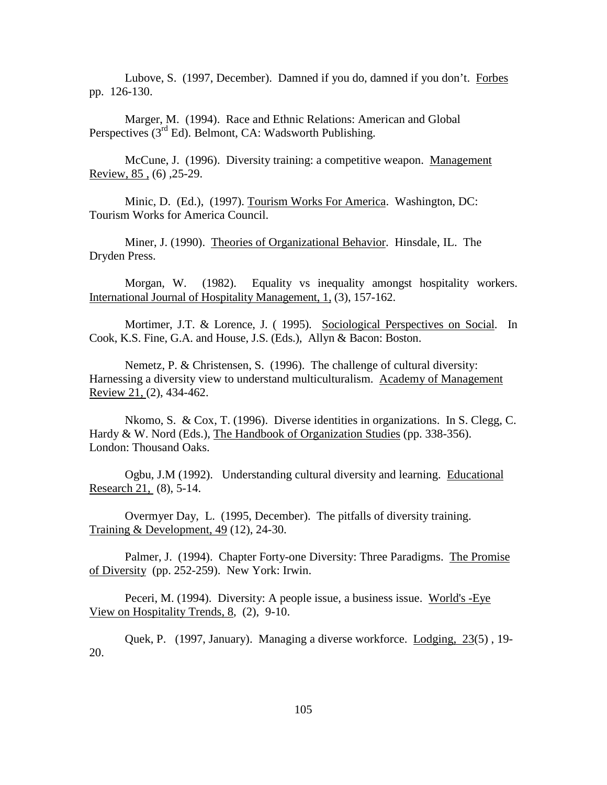Lubove, S. (1997, December). Damned if you do, damned if you don't. Forbes pp. 126-130.

Marger, M. (1994). Race and Ethnic Relations: American and Global Perspectives  $(3<sup>rd</sup> Ed)$ . Belmont, CA: Wadsworth Publishing.

McCune, J. (1996). Diversity training: a competitive weapon. Management Review, 85 , (6) ,25-29.

Minic, D. (Ed.), (1997). Tourism Works For America. Washington, DC: Tourism Works for America Council.

Miner, J. (1990). Theories of Organizational Behavior. Hinsdale, IL. The Dryden Press.

Morgan, W. (1982). Equality vs inequality amongst hospitality workers. International Journal of Hospitality Management, 1, (3), 157-162.

Mortimer, J.T. & Lorence, J. (1995). Sociological Perspectives on Social. In Cook, K.S. Fine, G.A. and House, J.S. (Eds.), Allyn & Bacon: Boston.

Nemetz, P. & Christensen, S. (1996). The challenge of cultural diversity: Harnessing a diversity view to understand multiculturalism. Academy of Management Review 21, (2), 434-462.

Nkomo, S. & Cox, T. (1996). Diverse identities in organizations. In S. Clegg, C. Hardy & W. Nord (Eds.), The Handbook of Organization Studies (pp. 338-356). London: Thousand Oaks.

Ogbu, J.M (1992). Understanding cultural diversity and learning. Educational Research 21, (8), 5-14.

Overmyer Day, L. (1995, December). The pitfalls of diversity training. Training & Development, 49 (12), 24-30.

Palmer, J. (1994). Chapter Forty-one Diversity: Three Paradigms. The Promise of Diversity (pp. 252-259). New York: Irwin.

Peceri, M. (1994). Diversity: A people issue, a business issue. World's -Eye View on Hospitality Trends, 8, (2), 9-10.

Quek, P. (1997, January). Managing a diverse workforce. Lodging, 23(5) , 19- 20.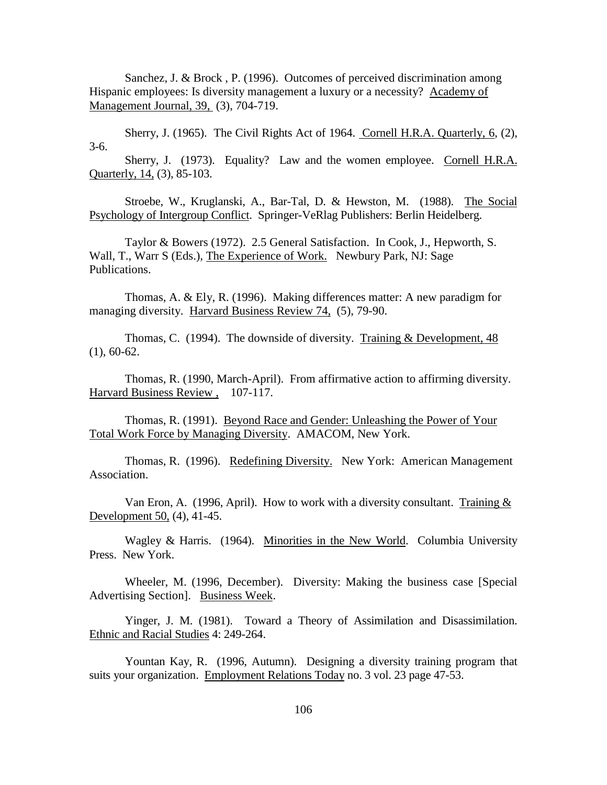Sanchez, J. & Brock , P. (1996). Outcomes of perceived discrimination among Hispanic employees: Is diversity management a luxury or a necessity? Academy of Management Journal, 39, (3), 704-719.

Sherry, J. (1965). The Civil Rights Act of 1964. Cornell H.R.A. Quarterly, 6, (2), 3-6.

Sherry, J. (1973). Equality? Law and the women employee. Cornell H.R.A. Quarterly, 14, (3), 85-103.

Stroebe, W., Kruglanski, A., Bar-Tal, D. & Hewston, M. (1988). The Social Psychology of Intergroup Conflict. Springer-VeRlag Publishers: Berlin Heidelberg.

Taylor & Bowers (1972). 2.5 General Satisfaction. In Cook, J., Hepworth, S. Wall, T., Warr S (Eds.), The Experience of Work. Newbury Park, NJ: Sage Publications.

Thomas, A. & Ely, R. (1996). Making differences matter: A new paradigm for managing diversity. Harvard Business Review 74, (5), 79-90.

Thomas, C. (1994). The downside of diversity. Training  $&$  Development, 48  $(1), 60-62.$ 

Thomas, R. (1990, March-April). From affirmative action to affirming diversity. Harvard Business Review , 107-117.

Thomas, R. (1991). Beyond Race and Gender: Unleashing the Power of Your Total Work Force by Managing Diversity. AMACOM, New York.

Thomas, R. (1996). Redefining Diversity. New York: American Management Association.

Van Eron, A. (1996, April). How to work with a diversity consultant. Training  $\&$ Development 50, (4), 41-45.

Wagley & Harris. (1964). Minorities in the New World. Columbia University Press. New York.

Wheeler, M. (1996, December). Diversity: Making the business case [Special Advertising Section]. Business Week.

Yinger, J. M. (1981). Toward a Theory of Assimilation and Disassimilation. Ethnic and Racial Studies 4: 249-264.

Yountan Kay, R. (1996, Autumn). Designing a diversity training program that suits your organization. Employment Relations Today no. 3 vol. 23 page 47-53.